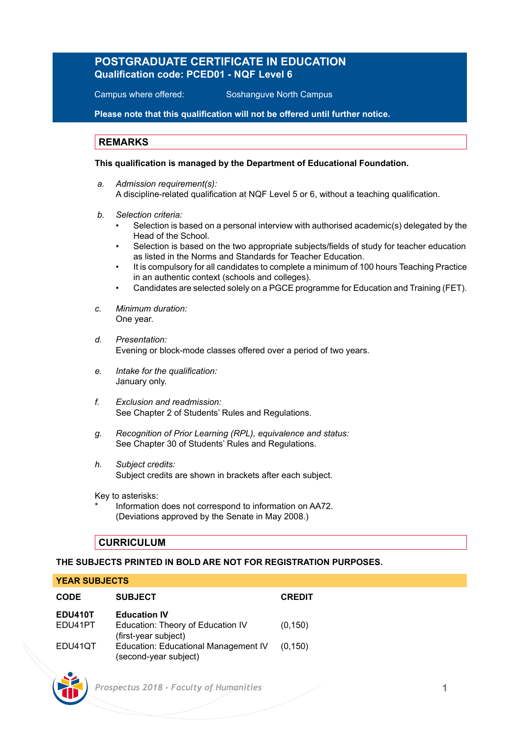## **POSTGRADUATE CERTIFICATE IN EDUCATION Qualification code: PCED01 - NQF Level 6**

Campus where offered: Soshanguve North Campus

**Please note that this qualification will not be offered until further notice.** 

### **REMARKS**

#### **This qualification is managed by the Department of Educational Foundation.**

- *a. Admission requirement(s):* A discipline-related qualification at NQF Level 5 or 6, without a teaching qualification.
- *b. Selection criteria:*
	- Selection is based on a personal interview with authorised academic(s) delegated by the Head of the School.
	- Selection is based on the two appropriate subjects/fields of study for teacher education as listed in the Norms and Standards for Teacher Education.
	- It is compulsory for all candidates to complete a minimum of 100 hours Teaching Practice in an authentic context (schools and colleges).
	- Candidates are selected solely on a PGCE programme for Education and Training (FET).
- *c. Minimum duration:* One year.
- *d. Presentation:*  Evening or block-mode classes offered over a period of two years.
- *e. Intake for the qualification:* January only.
- *f. Exclusion and readmission:* See Chapter 2 of Students' Rules and Regulations.
- *g. Recognition of Prior Learning (RPL), equivalence and status:* See Chapter 30 of Students' Rules and Regulations.
- *h. Subject credits:* Subject credits are shown in brackets after each subject.

Key to asterisks:

Information does not correspond to information on AA72. (Deviations approved by the Senate in May 2008.)

## **CURRICULUM**

### **THE SUBJECTS PRINTED IN BOLD ARE NOT FOR REGISTRATION PURPOSES.**

#### **YEAR SUBJECTS**

| <b>CODE</b>    | <b>SUBJECT</b>                                                | <b>CREDIT</b> |
|----------------|---------------------------------------------------------------|---------------|
| <b>EDU410T</b> | <b>Education IV</b>                                           |               |
| EDU41PT        | Education: Theory of Education IV<br>(first-year subject)     | (0, 150)      |
| EDU41QT        | Education: Educational Management IV<br>(second-year subject) | (0, 150)      |

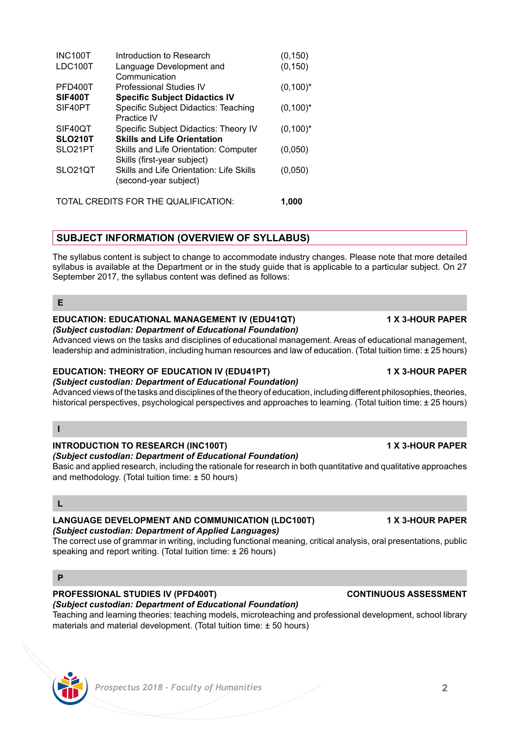| <b>INC100T</b> | Introduction to Research                 | (0, 150)    |
|----------------|------------------------------------------|-------------|
| LDC100T        | Language Development and                 | (0, 150)    |
|                | Communication                            |             |
| PFD400T        | Professional Studies IV                  | $(0,100)^*$ |
| <b>SIF400T</b> | <b>Specific Subject Didactics IV</b>     |             |
| SIF40PT        | Specific Subject Didactics: Teaching     | $(0,100)^*$ |
|                | Practice IV                              |             |
| SIF40QT        | Specific Subject Didactics: Theory IV    | $(0,100)^*$ |
| <b>SLO210T</b> | <b>Skills and Life Orientation</b>       |             |
| SLO21PT        | Skills and Life Orientation: Computer    | (0,050)     |
|                | Skills (first-year subject)              |             |
| SLO21QT        | Skills and Life Orientation: Life Skills | (0,050)     |
|                | (second-vear subject)                    |             |
|                | TOTAL CREDITS FOR THE QUALIFICATION:     | 1.000       |

## **SUBJECT INFORMATION (OVERVIEW OF SYLLABUS)**

The syllabus content is subject to change to accommodate industry changes. Please note that more detailed syllabus is available at the Department or in the study guide that is applicable to a particular subject. On 27 September 2017, the syllabus content was defined as follows:

### **E**

#### **EDUCATION: EDUCATIONAL MANAGEMENT IV (EDU41QT) 1 X 3-HOUR PAPER** *(Subject custodian: Department of Educational Foundation)*

Advanced views on the tasks and disciplines of educational management. Areas of educational management, leadership and administration, including human resources and law of education. (Total tuition time: ± 25 hours)

# **EDUCATION: THEORY OF EDUCATION IV (EDU41PT) 1 X 3-HOUR PAPER**

*(Subject custodian: Department of Educational Foundation)*

Advanced views of the tasks and disciplines of the theory of education, including different philosophies, theories, historical perspectives, psychological perspectives and approaches to learning. (Total tuition time: ± 25 hours)

## **I**

## **INTRODUCTION TO RESEARCH (INC100T) 1 X 3-HOUR PAPER**

## *(Subject custodian: Department of Educational Foundation)*

Basic and applied research, including the rationale for research in both quantitative and qualitative approaches and methodology. (Total tuition time: ± 50 hours)

### **L**

## **LANGUAGE DEVELOPMENT AND COMMUNICATION (LDC100T) 1 X 3-HOUR PAPER** *(Subject custodian: Department of Applied Languages)*

The correct use of grammar in writing, including functional meaning, critical analysis, oral presentations, public speaking and report writing. (Total tuition time: ± 26 hours)

## **P**

## **PROFESSIONAL STUDIES IV (PFD400T) CONTINUOUS ASSESSMENT**

*(Subject custodian: Department of Educational Foundation)*

Teaching and learning theories: teaching models, microteaching and professional development, school library materials and material development. (Total tuition time: ± 50 hours)